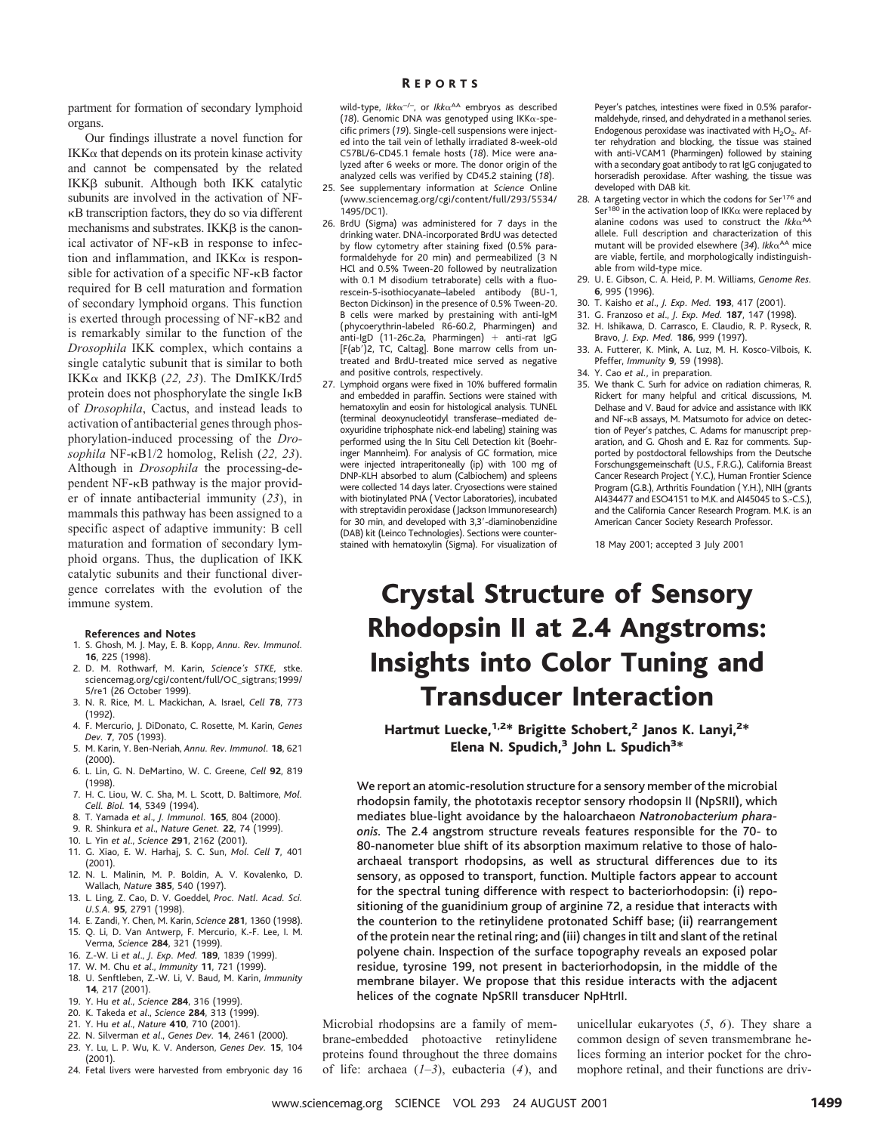#### R EPORTS

partment for formation of secondary lymphoid organs.

Our findings illustrate a novel function for  $IKK\alpha$  that depends on its protein kinase activity and cannot be compensated by the related  $IKK\beta$  subunit. Although both IKK catalytic subunits are involved in the activation of NFkB transcription factors, they do so via different mechanisms and substrates.  $IKK\beta$  is the canonical activator of NF-kB in response to infection and inflammation, and  $IKK\alpha$  is responsible for activation of a specific NF-kB factor required for B cell maturation and formation of secondary lymphoid organs. This function is exerted through processing of NF-kB2 and is remarkably similar to the function of the *Drosophila* IKK complex, which contains a single catalytic subunit that is similar to both IKK $α$  and IKK $β$  (22, 23). The DmIKK/Ird5 protein does not phosphorylate the single IkB of *Drosophila*, Cactus, and instead leads to activation of antibacterial genes through phosphorylation-induced processing of the *Drosophila* NF-kB1/2 homolog, Relish (*22, 23*). Although in *Drosophila* the processing-dependent NF-kB pathway is the major provider of innate antibacterial immunity (*23*), in mammals this pathway has been assigned to a specific aspect of adaptive immunity: B cell maturation and formation of secondary lymphoid organs. Thus, the duplication of IKK catalytic subunits and their functional divergence correlates with the evolution of the immune system.

#### **References and Notes**

- 1. S. Ghosh, M. J. May, E. B. Kopp, *Annu. Rev. Immunol.* **16**, 225 (1998).
- 2. D. M. Rothwarf, M. Karin, *Science's STKE,* stke. sciencemag.org/cgi/content/full/OC\_sigtrans;1999/ 5/re1 (26 October 1999).
- 3. N. R. Rice, M. L. Mackichan, A. Israel, *Cell* **78**, 773 (1992).
- 4. F. Mercurio, J. DiDonato, C. Rosette, M. Karin, *Genes Dev.* **7**, 705 (1993).
- 5. M. Karin, Y. Ben-Neriah, *Annu. Rev. Immunol.* **18**, 621 (2000).
- 6. L. Lin, G. N. DeMartino, W. C. Greene, *Cell* **92**, 819 (1998).
- 7. H. C. Liou, W. C. Sha, M. L. Scott, D. Baltimore, *Mol. Cell. Biol.* **14**, 5349 (1994).
- 8. T. Yamada *et al*., *J. Immunol.* **165**, 804 (2000).
- 9. R. Shinkura *et al*., *Nature Genet.* **22**, 74 (1999).
- 10. L. Yin *et al*., *Science* **291**, 2162 (2001).
- 11. G. Xiao, E. W. Harhaj, S. C. Sun, *Mol. Cell* **7**, 401 (2001).
- 12. N. L. Malinin, M. P. Boldin, A. V. Kovalenko, D. Wallach, *Nature* **385**, 540 (1997).
- 13. L. Ling, Z. Cao, D. V. Goeddel, *Proc. Natl. Acad. Sci. U.S.A.* **95**, 2791 (1998).
- 14. E. Zandi, Y. Chen, M. Karin, *Science* **281**, 1360 (1998). 15. Q. Li, D. Van Antwerp, F. Mercurio, K.-F. Lee, I. M.
- Verma, *Science* **284**, 321 (1999).
- 16. Z.-W. Li *et al*., *J. Exp. Med.* **189**, 1839 (1999).
- 17. W. M. Chu *et al*., *Immunity* **11**, 721 (1999).
- 18. U. Senftleben, Z.-W. Li, V. Baud, M. Karin, *Immunity* **14**, 217 (2001).
- 19. Y. Hu *et al*., *Science* **284**, 316 (1999).
- 20. K. Takeda *et al*., *Science* **284**, 313 (1999).
- 21. Y. Hu *et al*., *Nature* **410**, 710 (2001).
- 22. N. Silverman *et al*., *Genes Dev.* **14**, 2461 (2000). 23. Y. Lu, L. P. Wu, K. V. Anderson, *Genes Dev.* **15**, 104 (2001).
- 24. Fetal livers were harvested from embryonic day 16

 $width$ -type,  $lkk\alpha^{-/-}$ , or  $lkk\alpha^{AA}$  embryos as described (*18*). Genomic DNA was genotyped using IKKa-specific primers (*19*). Single-cell suspensions were injected into the tail vein of lethally irradiated 8-week-old C57BL/6-CD45.1 female hosts (*18*). Mice were analyzed after 6 weeks or more. The donor origin of the analyzed cells was verified by CD45.2 staining (*18*).

- 25. See supplementary information at *Science* Online (www.sciencemag.org/cgi/content/full/293/5534/ .<br>1495/DC1).
- 26. BrdU (Sigma) was administered for 7 days in the drinking water. DNA-incorporated BrdU was detected by flow cytometry after staining fixed (0.5% paraformaldehyde for 20 min) and permeabilized (3 N HCl and 0.5% Tween-20 followed by neutralization with 0.1 M disodium tetraborate) cells with a fluorescein-5-isothiocyanate–labeled antibody (BU-1, Becton Dickinson) in the presence of 0.5% Tween-20. B cells were marked by prestaining with anti-IgM (phycoerythrin-labeled R6-60.2, Pharmingen) and  $anti-lgD$  (11-26c.2a, Pharmingen) + anti-rat IgG [F(ab')2, TC, Caltag]. Bone marrow cells from untreated and BrdU-treated mice served as negative and positive controls, respectively.
- 27. Lymphoid organs were fixed in 10% buffered formalin and embedded in paraffin. Sections were stained with hematoxylin and eosin for histological analysis. TUNEL (terminal deoxynucleotidyl transferase–mediated deoxyuridine triphosphate nick-end labeling) staining was performed using the In Situ Cell Detection kit (Boehringer Mannheim). For analysis of GC formation, mice were injected intraperitoneally (ip) with 100 mg of DNP-KLH absorbed to alum (Calbiochem) and spleens were collected 14 days later. Cryosections were stained with biotinylated PNA ( Vector Laboratories), incubated with streptavidin peroxidase (Jackson Immunoresearch) for 30 min, and developed with 3,3'-diaminobenzidine (DAB) kit (Leinco Technologies). Sections were counterstained with hematoxylin (Sigma). For visualization of

Peyer's patches, intestines were fixed in 0.5% paraformaldehyde, rinsed, and dehydrated in a methanol series. Endogenous peroxidase was inactivated with  $H_2O_2$ . After rehydration and blocking, the tissue was stained with anti-VCAM1 (Pharmingen) followed by staining with a secondary goat antibody to rat IgG conjugated to horseradish peroxidase. After washing, the tissue was developed with DAB kit.

- 28. A targeting vector in which the codons for Ser<sup>176</sup> and Ser<sup>180</sup> in the activation loop of IKK $\alpha$  were replaced by alanine codons was used to construct the  $Ikk\alpha^{AA}$ allele. Full description and characterization of this mutant will be provided elsewhere (34). Ikkα<sup>AA</sup> mice are viable, fertile, and morphologically indistinguishable from wild-type mice.
- 29. U. E. Gibson, C. A. Heid, P. M. Williams, *Genome Res.* **6**, 995 (1996).
- 30. T. Kaisho *et al*., *J. Exp. Med.* **193**, 417 (2001).
- 31. G. Franzoso *et al*., *J. Exp. Med.* **187**, 147 (1998).
- 32. H. Ishikawa, D. Carrasco, E. Claudio, R. P. Ryseck, R. Bravo, *J. Exp. Med.* **186**, 999 (1997).
- 33. A. Futterer, K. Mink, A. Luz, M. H. Kosco-Vilbois, K. Pfeffer, *Immunity* **9**, 59 (1998).
- 34. Y. Cao *et al.*, in preparation.
- 35. We thank C. Surh for advice on radiation chimeras, R. Rickert for many helpful and critical discussions, M. Delhase and V. Baud for advice and assistance with IKK and NF-kB assays, M. Matsumoto for advice on detection of Peyer's patches, C. Adams for manuscript preparation, and G. Ghosh and E. Raz for comments. Supported by postdoctoral fellowships from the Deutsche Forschungsgemeinschaft (U.S., F.R.G.), California Breast Cancer Research Project ( Y.C.), Human Frontier Science Program (G.B.), Arthritis Foundation ( Y.H.), NIH (grants AI434477 and ESO4151 to M.K. and AI45045 to S.-C.S.), and the California Cancer Research Program. M.K. is an American Cancer Society Research Professor.

18 May 2001; accepted 3 July 2001

# Crystal Structure of Sensory Rhodopsin II at 2.4 Angstroms: Insights into Color Tuning and Transducer Interaction

Hartmut Luecke,<sup>1,2\*</sup> Brigitte Schobert,<sup>2</sup> Janos K. Lanyi,<sup>2\*</sup> Elena N. Spudich,<sup>3</sup> John L. Spudich<sup>3\*</sup>

We report an atomic-resolution structure for a sensory member of the microbial rhodopsin family, the phototaxis receptor sensory rhodopsin II (NpSRII), which mediates blue-light avoidance by the haloarchaeon *Natronobacterium pharaonis.* The 2.4 angstrom structure reveals features responsible for the 70- to 80-nanometer blue shift of its absorption maximum relative to those of haloarchaeal transport rhodopsins, as well as structural differences due to its sensory, as opposed to transport, function. Multiple factors appear to account for the spectral tuning difference with respect to bacteriorhodopsin: (i) repositioning of the guanidinium group of arginine 72, a residue that interacts with the counterion to the retinylidene protonated Schiff base; (ii) rearrangement of the protein near the retinal ring; and (iii) changes in tilt and slant of the retinal polyene chain. Inspection of the surface topography reveals an exposed polar residue, tyrosine 199, not present in bacteriorhodopsin, in the middle of the membrane bilayer. We propose that this residue interacts with the adjacent helices of the cognate NpSRII transducer NpHtrII.

Microbial rhodopsins are a family of membrane-embedded photoactive retinylidene proteins found throughout the three domains of life: archaea (*1*–*3*), eubacteria (*4*), and unicellular eukaryotes (*5*, *6*). They share a common design of seven transmembrane helices forming an interior pocket for the chromophore retinal, and their functions are driv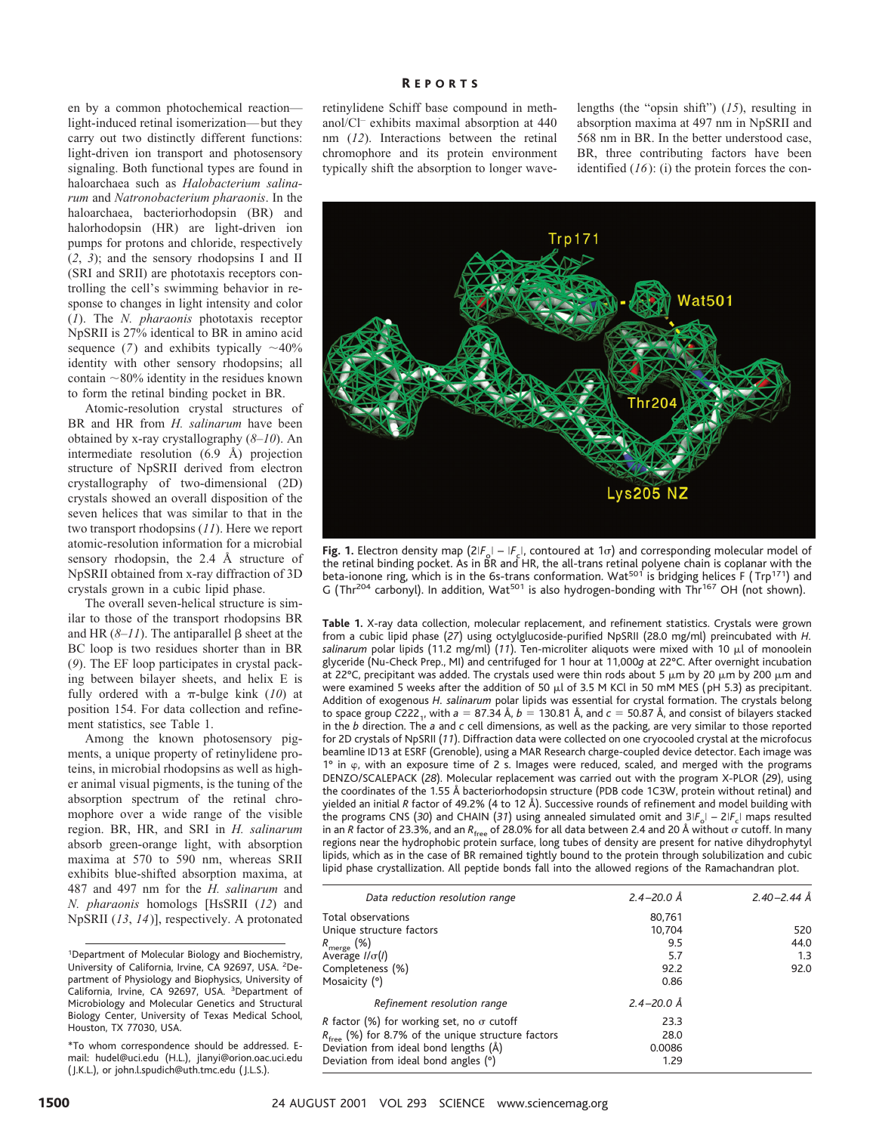en by a common photochemical reaction light-induced retinal isomerization—but they carry out two distinctly different functions: light-driven ion transport and photosensory signaling. Both functional types are found in haloarchaea such as *Halobacterium salinarum* and *Natronobacterium pharaonis*. In the haloarchaea, bacteriorhodopsin (BR) and halorhodopsin (HR) are light-driven ion pumps for protons and chloride, respectively (*2*, *3*); and the sensory rhodopsins I and II (SRI and SRII) are phototaxis receptors controlling the cell's swimming behavior in response to changes in light intensity and color (*1*). The *N. pharaonis* phototaxis receptor NpSRII is 27% identical to BR in amino acid sequence (7) and exhibits typically  $\sim$ 40% identity with other sensory rhodopsins; all contain  $\sim$ 80% identity in the residues known to form the retinal binding pocket in BR.

Atomic-resolution crystal structures of BR and HR from *H. salinarum* have been obtained by x-ray crystallography (*8*–*10*). An intermediate resolution (6.9 Å) projection structure of NpSRII derived from electron crystallography of two-dimensional (2D) crystals showed an overall disposition of the seven helices that was similar to that in the two transport rhodopsins (*11*). Here we report atomic-resolution information for a microbial sensory rhodopsin, the 2.4 Å structure of NpSRII obtained from x-ray diffraction of 3D crystals grown in a cubic lipid phase.

The overall seven-helical structure is similar to those of the transport rhodopsins BR and HR  $(8-11)$ . The antiparallel  $\beta$  sheet at the BC loop is two residues shorter than in BR (*9*). The EF loop participates in crystal packing between bilayer sheets, and helix E is fully ordered with a  $\pi$ -bulge kink (10) at position 154. For data collection and refinement statistics, see Table 1.

Among the known photosensory pigments, a unique property of retinylidene proteins, in microbial rhodopsins as well as higher animal visual pigments, is the tuning of the absorption spectrum of the retinal chromophore over a wide range of the visible region. BR, HR, and SRI in *H. salinarum* absorb green-orange light, with absorption maxima at 570 to 590 nm, whereas SRII exhibits blue-shifted absorption maxima, at 487 and 497 nm for the *H. salinarum* and *N. pharaonis* homologs [HsSRII (*12*) and NpSRII (*13*, *14*)], respectively. A protonated

<sup>1</sup>Department of Molecular Biology and Biochemistry, University of California, Irvine, CA 92697, USA. <sup>2</sup>Department of Physiology and Biophysics, University of California, Irvine, CA 92697, USA. <sup>3</sup>Department of Microbiology and Molecular Genetics and Structural Biology Center, University of Texas Medical School, Houston, TX 77030, USA.

\*To whom correspondence should be addressed. Email: hudel@uci.edu (H.L.), jlanyi@orion.oac.uci.edu (J.K.L.), or john.l.spudich@uth.tmc.edu (J.L.S.).

retinylidene Schiff base compound in methanol/Cl– exhibits maximal absorption at 440 nm (*12*). Interactions between the retinal chromophore and its protein environment typically shift the absorption to longer wave-

lengths (the "opsin shift") (*15*), resulting in absorption maxima at 497 nm in NpSRII and 568 nm in BR. In the better understood case, BR, three contributing factors have been identified (*16*): (i) the protein forces the con-



**Fig. 1.** Electron density map (2 $|F_o| - |F_c|$ , contoured at 1 $\sigma$ ) and corresponding molecular model of the retinal binding pocket. As in BR and HR, the all-trans retinal polyene chain is coplanar with the beta-ionone ring, which is in the 6s-trans conformation.  $Wat^{501}$  is bridging helices F ( $Trp^{171}$ ) and G (Thr<sup>204</sup> carbonyl). In addition, Wat<sup>501</sup> is also hydrogen-bonding with Thr<sup>167</sup> OH (not shown).

**Table 1.** X-ray data collection, molecular replacement, and refinement statistics. Crystals were grown from a cubic lipid phase (*27*) using octylglucoside-purified NpSRII (28.0 mg/ml) preincubated with *H. salinarum* polar lipids (11.2 mg/ml) (11). Ten-microliter aliquots were mixed with 10  $\mu$ l of monoolein glyceride (Nu-Check Prep., MI) and centrifuged for 1 hour at 11,000*g* at 22°C. After overnight incubation at 22°C, precipitant was added. The crystals used were thin rods about 5  $\mu$ m by 20  $\mu$ m by 200  $\mu$ m and were examined 5 weeks after the addition of 50  $\mu$ l of 3.5 M KCl in 50 mM MES (pH 5.3) as precipitant. Addition of exogenous *H. salinarum* polar lipids was essential for crystal formation. The crystals belong to space group  $C222$ <sub>1</sub>, with  $a = 87.34$  Å,  $b = 130.81$  Å, and  $c = 50.87$  Å, and consist of bilayers stacked in the *b* direction. The *a* and *c* cell dimensions, as well as the packing, are very similar to those reported for 2D crystals of NpSRII (*11*). Diffraction data were collected on one cryocooled crystal at the microfocus beamline ID13 at ESRF (Grenoble), using a MAR Research charge-coupled device detector. Each image was  $1^{\circ}$  in  $\varphi$ , with an exposure time of 2 s. Images were reduced, scaled, and merged with the programs DENZO/SCALEPACK (*28*). Molecular replacement was carried out with the program X-PLOR (*29*), using the coordinates of the 1.55 Å bacteriorhodopsin structure (PDB code 1C3W, protein without retinal) and yielded an initial *R* factor of 49.2% (4 to 12 Å). Successive rounds of refinement and model building with the programs CNS (30) and CHAIN (31) using annealed simulated omit and  $3|F_{\circ}| - 2|F_{\circ}|$  maps resulted in an *R* factor of 23.3%, and an  $R_{\text{free}}$  of 28.0% for all data between 2.4 and 20 Å without  $\sigma$  cutoff. In many regions near the hydrophobic protein surface, long tubes of density are present for native dihydrophytyl lipids, which as in the case of BR remained tightly bound to the protein through solubilization and cubic lipid phase crystallization. All peptide bonds fall into the allowed regions of the Ramachandran plot.

| Data reduction resolution range                                | $2.4 - 20.0$ Å | $2.40 - 2.44$ Å |
|----------------------------------------------------------------|----------------|-----------------|
| Total observations                                             | 80.761         |                 |
| Unique structure factors                                       | 10,704         | 520             |
| R <sub>merge</sub> (%)                                         | 9.5            | 44.0            |
| Average $I/\sigma(I)$                                          | 5.7            | 1.3             |
| Completeness (%)                                               | 92.2           | 92.0            |
| Mosaicity (°)                                                  | 0.86           |                 |
| Refinement resolution range                                    | $2.4 - 20.0$ Å |                 |
| R factor (%) for working set, no $\sigma$ cutoff               | 23.3           |                 |
| $R_{\text{free}}$ (%) for 8.7% of the unique structure factors | 28.0           |                 |
| Deviation from ideal bond lengths (Å)                          | 0.0086         |                 |
| Deviation from ideal bond angles (°)                           | 1.29           |                 |
|                                                                |                |                 |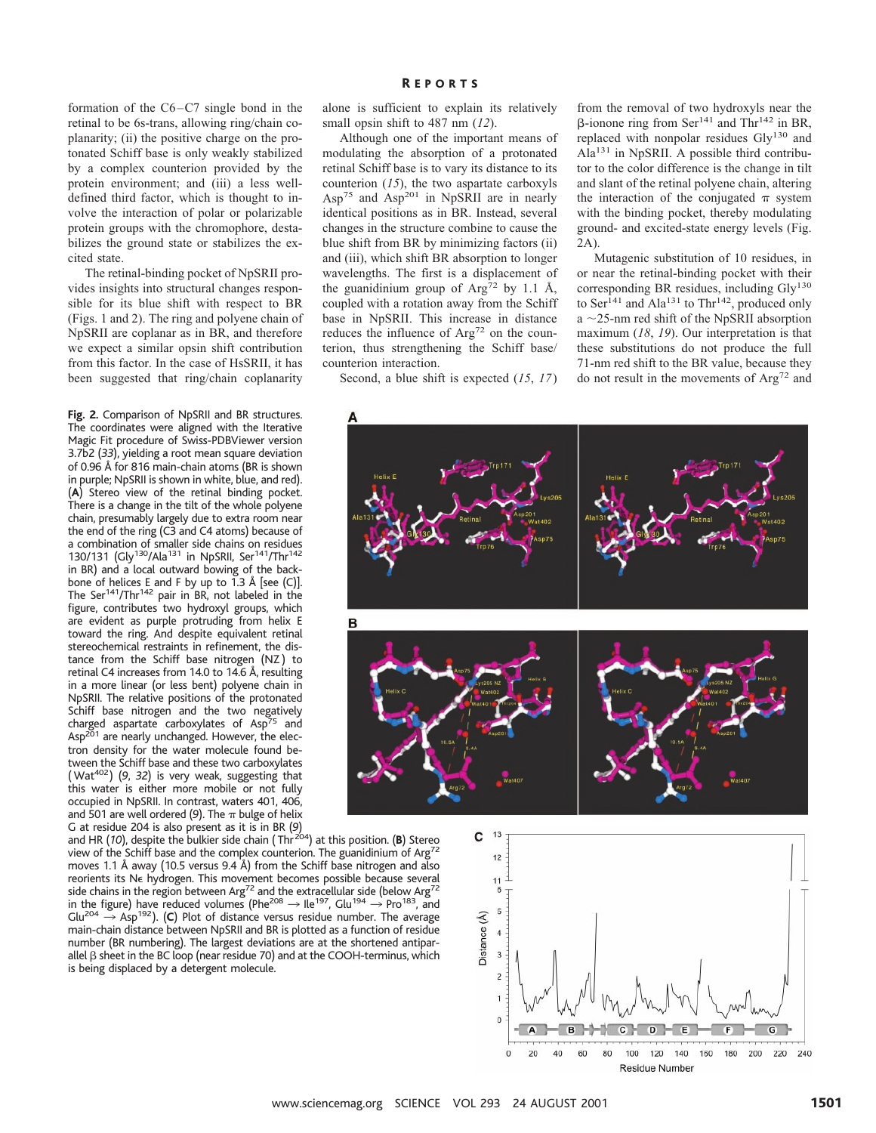formation of the C6–C7 single bond in the retinal to be 6s-trans, allowing ring/chain coplanarity; (ii) the positive charge on the protonated Schiff base is only weakly stabilized by a complex counterion provided by the protein environment; and (iii) a less welldefined third factor, which is thought to involve the interaction of polar or polarizable protein groups with the chromophore, destabilizes the ground state or stabilizes the excited state.

The retinal-binding pocket of NpSRII provides insights into structural changes responsible for its blue shift with respect to BR (Figs. 1 and 2). The ring and polyene chain of NpSRII are coplanar as in BR, and therefore we expect a similar opsin shift contribution from this factor. In the case of HsSRII, it has been suggested that ring/chain coplanarity

**Fig. 2.** Comparison of NpSRII and BR structures. The coordinates were aligned with the Iterative Magic Fit procedure of Swiss-PDBViewer version 3.7b2 (*33*), yielding a root mean square deviation of 0.96 Å for 816 main-chain atoms (BR is shown in purple; NpSRII is shown in white, blue, and red). (**A**) Stereo view of the retinal binding pocket. There is a change in the tilt of the whole polyene chain, presumably largely due to extra room near the end of the ring (C3 and C4 atoms) because of a combination of smaller side chains on residues 130/131 (Gly<sup>130</sup>/Ala<sup>131</sup> in NpSRII, Ser<sup>141</sup>/Thr<sup>142</sup> in BR) and a local outward bowing of the backbone of helices E and F by up to 1.3 Å [see (C)]. The Ser<sup>141</sup>/Thr<sup>142</sup> pair in BR, not labeled in the figure, contributes two hydroxyl groups, which are evident as purple protruding from helix E toward the ring. And despite equivalent retinal stereochemical restraints in refinement, the distance from the Schiff base nitrogen (NZ) to retinal C4 increases from 14.0 to 14.6 Å, resulting in a more linear (or less bent) polyene chain in NpSRII. The relative positions of the protonated Schiff base nitrogen and the two negatively charged aspartate carboxylates of  $Asp^{75}$  and  $Asp^{201}$  are nearly unchanged. However, the electron density for the water molecule found between the Schiff base and these two carboxylates ( Wat402) (*9*, *32*) is very weak, suggesting that this water is either more mobile or not fully occupied in NpSRII. In contrast, waters 401, 406, and 501 are well ordered (9). The  $\pi$  bulge of helix G at residue 204 is also present as it is in BR (*9*)

and HR (10), despite the bulkier side chain (Thr<sup>204</sup>) at this position. (B) Stereo view of the Schiff base and the complex counterion. The guanidinium of  $Arg^{72}$ moves 1.1 Å away (10.5 versus 9.4 Å) from the Schiff base nitrogen and also reorients its Ne hydrogen. This movement becomes possible because several side chains in the region between Arg<sup>72</sup> and the extracellular side (below Arg<sup>72</sup> in the figure) have reduced volumes (Phe<sup>208</sup>  $\rightarrow$  Ile<sup>197</sup>, Glu<sup>194</sup>  $\rightarrow$  Pro<sup>183</sup>, and Glu<sup>204</sup>  $\rightarrow$  Asp<sup>192</sup>). (C) Plot of distance versus residue number. The average main-chain distance between NpSRII and BR is plotted as a function of residue number (BR numbering). The largest deviations are at the shortened antiparallel  $\beta$  sheet in the BC loop (near residue 70) and at the COOH-terminus, which is being displaced by a detergent molecule.

### R EPORTS

alone is sufficient to explain its relatively small opsin shift to 487 nm (*12*).

Although one of the important means of modulating the absorption of a protonated retinal Schiff base is to vary its distance to its counterion (*15*), the two aspartate carboxyls Asp<sup>75</sup> and Asp<sup>201</sup> in NpSRII are in nearly identical positions as in BR. Instead, several changes in the structure combine to cause the blue shift from BR by minimizing factors (ii) and (iii), which shift BR absorption to longer wavelengths. The first is a displacement of the guanidinium group of  $Arg^{72}$  by 1.1 Å, coupled with a rotation away from the Schiff base in NpSRII. This increase in distance reduces the influence of Arg<sup>72</sup> on the counterion, thus strengthening the Schiff base/ counterion interaction.

Second, a blue shift is expected (*15*, *17*)

B

from the removal of two hydroxyls near the  $\beta$ -ionone ring from Ser<sup>141</sup> and Thr<sup>142</sup> in BR, replaced with nonpolar residues Gly130 and Ala131 in NpSRII. A possible third contributor to the color difference is the change in tilt and slant of the retinal polyene chain, altering the interaction of the conjugated  $\pi$  system with the binding pocket, thereby modulating ground- and excited-state energy levels (Fig. 2A).

Mutagenic substitution of 10 residues, in or near the retinal-binding pocket with their corresponding BR residues, including Gly<sup>130</sup> to Ser<sup>141</sup> and Ala<sup>131</sup> to Thr<sup>142</sup>, produced only a  $\sim$ 25-nm red shift of the NpSRII absorption maximum (*18*, *19*). Our interpretation is that these substitutions do not produce the full 71-nm red shift to the BR value, because they do not result in the movements of Arg72 and



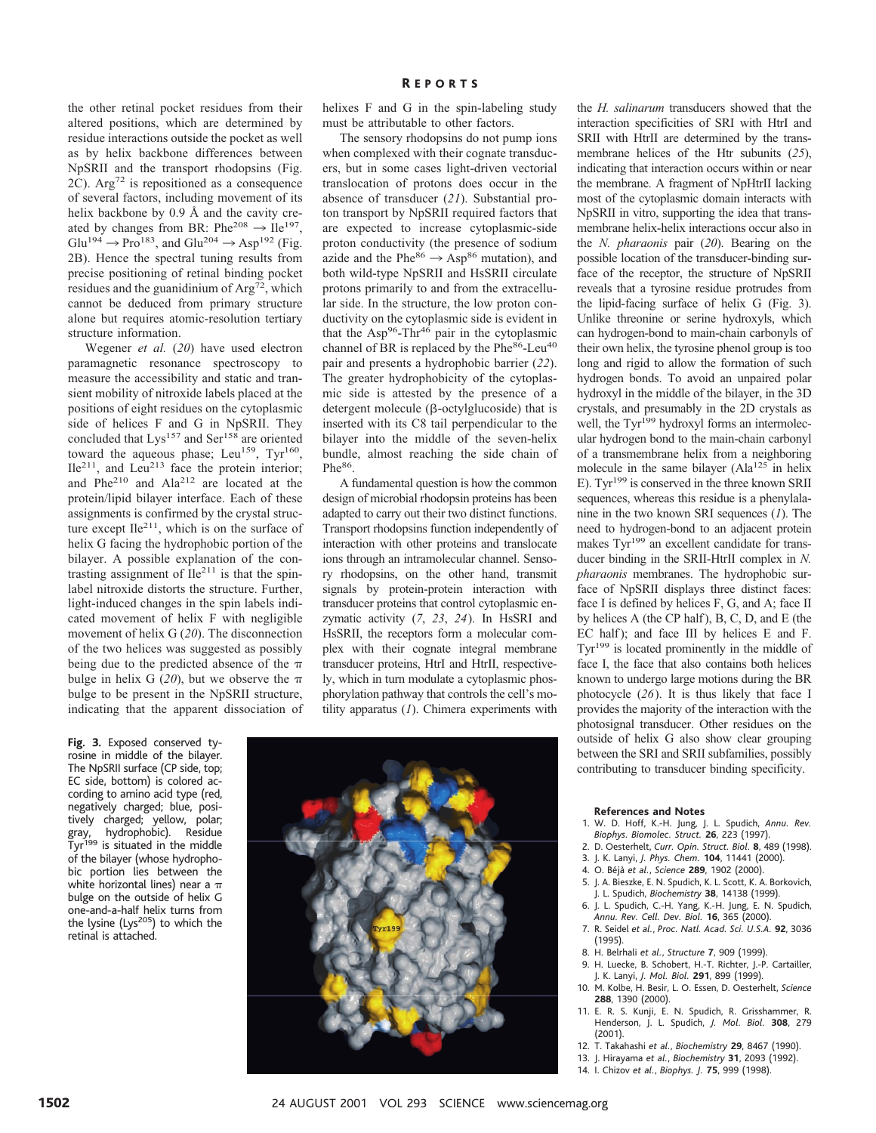the other retinal pocket residues from their altered positions, which are determined by residue interactions outside the pocket as well as by helix backbone differences between NpSRII and the transport rhodopsins (Fig. 2C). Arg72 is repositioned as a consequence of several factors, including movement of its helix backbone by 0.9 Å and the cavity created by changes from BR: Phe<sup>208</sup>  $\rightarrow$  Ile<sup>197</sup>,  $Glu^{194} \rightarrow Pro^{183}$ , and  $Glu^{204} \rightarrow Asp^{192}$  (Fig. 2B). Hence the spectral tuning results from precise positioning of retinal binding pocket residues and the guanidinium of Arg<sup>72</sup>, which cannot be deduced from primary structure alone but requires atomic-resolution tertiary structure information.

Wegener *et al.* (*20*) have used electron paramagnetic resonance spectroscopy to measure the accessibility and static and transient mobility of nitroxide labels placed at the positions of eight residues on the cytoplasmic side of helices F and G in NpSRII. They concluded that  $Lys^{157}$  and  $Ser^{158}$  are oriented toward the aqueous phase; Leu<sup>159</sup>, Tyr<sup>160</sup>,  $I$ le<sup>211</sup>, and Leu<sup>213</sup> face the protein interior; and Phe<sup>210</sup> and Ala<sup>212</sup> are located at the protein/lipid bilayer interface. Each of these assignments is confirmed by the crystal structure except Ile<sup>211</sup>, which is on the surface of helix G facing the hydrophobic portion of the bilayer. A possible explanation of the contrasting assignment of  $Ile<sup>211</sup>$  is that the spinlabel nitroxide distorts the structure. Further, light-induced changes in the spin labels indicated movement of helix F with negligible movement of helix G (*20*). The disconnection of the two helices was suggested as possibly being due to the predicted absence of the  $\pi$ bulge in helix G (20), but we observe the  $\pi$ bulge to be present in the NpSRII structure, indicating that the apparent dissociation of

**Fig. 3.** Exposed conserved tyrosine in middle of the bilayer. The NpSRII surface (CP side, top; EC side, bottom) is colored according to amino acid type (red, negatively charged; blue, positively charged; yellow, polar; gray, hydrophobic). Residue<br>Tyr<sup>199</sup> is situated in the middle of the bilayer (whose hydrophobic portion lies between the white horizontal lines) near a  $\pi$ bulge on the outside of helix G one-and-a-half helix turns from the lysine (Lys<sup>205</sup>) to which the retinal is attached.

helixes F and G in the spin-labeling study must be attributable to other factors.

The sensory rhodopsins do not pump ions when complexed with their cognate transducers, but in some cases light-driven vectorial translocation of protons does occur in the absence of transducer (*21*). Substantial proton transport by NpSRII required factors that are expected to increase cytoplasmic-side proton conductivity (the presence of sodium azide and the Phe<sup>86</sup>  $\rightarrow$  Asp<sup>86</sup> mutation), and both wild-type NpSRII and HsSRII circulate protons primarily to and from the extracellular side. In the structure, the low proton conductivity on the cytoplasmic side is evident in that the Asp<sup>96</sup>-Thr<sup>46</sup> pair in the cytoplasmic channel of BR is replaced by the Phe<sup>86</sup>-Leu<sup>40</sup> pair and presents a hydrophobic barrier (*22*). The greater hydrophobicity of the cytoplasmic side is attested by the presence of a detergent molecule  $(\beta$ -octylglucoside) that is inserted with its C8 tail perpendicular to the bilayer into the middle of the seven-helix bundle, almost reaching the side chain of Phe86.

A fundamental question is how the common design of microbial rhodopsin proteins has been adapted to carry out their two distinct functions. Transport rhodopsins function independently of interaction with other proteins and translocate ions through an intramolecular channel. Sensory rhodopsins, on the other hand, transmit signals by protein-protein interaction with transducer proteins that control cytoplasmic enzymatic activity (*7*, *23*, *24*). In HsSRI and HsSRII, the receptors form a molecular complex with their cognate integral membrane transducer proteins, HtrI and HtrII, respectively, which in turn modulate a cytoplasmic phosphorylation pathway that controls the cell's motility apparatus (*1*). Chimera experiments with



the *H. salinarum* transducers showed that the interaction specificities of SRI with HtrI and SRII with HtrII are determined by the transmembrane helices of the Htr subunits (*25*), indicating that interaction occurs within or near the membrane. A fragment of NpHtrII lacking most of the cytoplasmic domain interacts with NpSRII in vitro, supporting the idea that transmembrane helix-helix interactions occur also in the *N. pharaonis* pair (*20*). Bearing on the possible location of the transducer-binding surface of the receptor, the structure of NpSRII reveals that a tyrosine residue protrudes from the lipid-facing surface of helix G (Fig. 3). Unlike threonine or serine hydroxyls, which can hydrogen-bond to main-chain carbonyls of their own helix, the tyrosine phenol group is too long and rigid to allow the formation of such hydrogen bonds. To avoid an unpaired polar hydroxyl in the middle of the bilayer, in the 3D crystals, and presumably in the 2D crystals as well, the Tyr<sup>199</sup> hydroxyl forms an intermolecular hydrogen bond to the main-chain carbonyl of a transmembrane helix from a neighboring molecule in the same bilayer (Ala<sup>125</sup> in helix E). Tyr199 is conserved in the three known SRII sequences, whereas this residue is a phenylalanine in the two known SRI sequences (*1*). The need to hydrogen-bond to an adjacent protein makes Tyr199 an excellent candidate for transducer binding in the SRII-HtrII complex in *N. pharaonis* membranes. The hydrophobic surface of NpSRII displays three distinct faces: face I is defined by helices F, G, and A; face II by helices A (the CP half), B, C, D, and E (the EC half); and face III by helices E and F. Tyr199 is located prominently in the middle of face I, the face that also contains both helices known to undergo large motions during the BR photocycle (*26*). It is thus likely that face I provides the majority of the interaction with the photosignal transducer. Other residues on the outside of helix G also show clear grouping between the SRI and SRII subfamilies, possibly contributing to transducer binding specificity.

#### **References and Notes**

- 1. W. D. Hoff, K.-H. Jung, J. L. Spudich, *Annu. Rev. Biophys. Biomolec. Struct.* **26**, 223 (1997).
- 2. D. Oesterhelt, *Curr. Opin. Struct. Biol.* **8**, 489 (1998).
- 3. J. K. Lanyi, *J. Phys. Chem.* **104**, 11441 (2000).
- 4. O. Be´ja` *et al.*, *Science* **289**, 1902 (2000).
- 5. J. A. Bieszke, E. N. Spudich, K. L. Scott, K. A. Borkovich, J. L. Spudich, *Biochemistry* **38**, 14138 (1999).
- 6. J. L. Spudich, C.-H. Yang, K.-H. Jung, E. N. Spudich, *Annu. Rev. Cell. Dev. Biol.* **16**, 365 (2000).
- 7. R. Seidel *et al.*, *Proc. Natl. Acad. Sci. U.S.A.* **92**, 3036 (1995).
- 8. H. Belrhali *et al.*, *Structure* **7**, 909 (1999).
- 9. H. Luecke, B. Schobert, H.-T. Richter, J.-P. Cartailler, J. K. Lanyi, *J. Mol. Biol.* **291**, 899 (1999).
- 10. M. Kolbe, H. Besir, L. O. Essen, D. Oesterhelt, *Science* **288**, 1390 (2000).
- 11. E. R. S. Kunji, E. N. Spudich, R. Grisshammer, R. Henderson, J. L. Spudich, *J. Mol. Biol.* **308**, 279 (2001).
- 12. T. Takahashi *et al.*, *Biochemistry* **29**, 8467 (1990).
- 13. J. Hirayama *et al.*, *Biochemistry* **31**, 2093 (1992).
- 14. I. Chizov *et al.*, *Biophys. J.* **75**, 999 (1998).